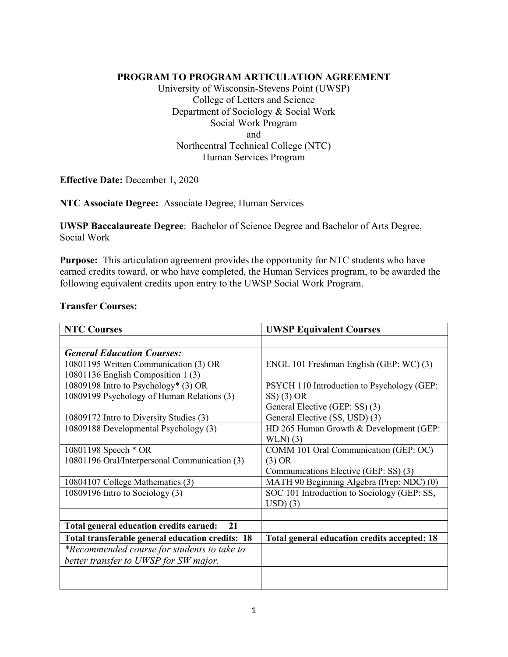### **PROGRAM TO PROGRAM ARTICULATION AGREEMENT**

University of Wisconsin-Stevens Point (UWSP) College of Letters and Science Department of Sociology & Social Work Social Work Program and Northcentral Technical College (NTC) Human Services Program

**Effective Date:** December 1, 2020

**NTC Associate Degree:** Associate Degree, Human Services

**UWSP Baccalaureate Degree**: Bachelor of Science Degree and Bachelor of Arts Degree, Social Work

**Purpose:** This articulation agreement provides the opportunity for NTC students who have earned credits toward, or who have completed, the Human Services program, to be awarded the following equivalent credits upon entry to the UWSP Social Work Program.

#### **Transfer Courses:**

| <b>NTC Courses</b>                               | <b>UWSP Equivalent Courses</b>               |
|--------------------------------------------------|----------------------------------------------|
|                                                  |                                              |
| <b>General Education Courses:</b>                |                                              |
| 10801195 Written Communication (3) OR            | ENGL 101 Freshman English (GEP: WC) (3)      |
| 10801136 English Composition 1 (3)               |                                              |
| 10809198 Intro to Psychology* (3) OR             | PSYCH 110 Introduction to Psychology (GEP:   |
| 10809199 Psychology of Human Relations (3)       | $SS(3)$ OR                                   |
|                                                  | General Elective (GEP: SS) (3)               |
| 10809172 Intro to Diversity Studies (3)          | General Elective (SS, USD) (3)               |
| 10809188 Developmental Psychology (3)            | HD 265 Human Growth & Development (GEP:      |
|                                                  | WLN(3)                                       |
| 10801198 Speech * OR                             | COMM 101 Oral Communication (GEP: OC)        |
| 10801196 Oral/Interpersonal Communication (3)    | (3) OR                                       |
|                                                  | Communications Elective (GEP: SS) (3)        |
| 10804107 College Mathematics (3)                 | MATH 90 Beginning Algebra (Prep: NDC) (0)    |
| 10809196 Intro to Sociology (3)                  | SOC 101 Introduction to Sociology (GEP: SS,  |
|                                                  | $USD)$ (3)                                   |
|                                                  |                                              |
| Total general education credits earned:<br>21    |                                              |
| Total transferable general education credits: 18 | Total general education credits accepted: 18 |
| *Recommended course for students to take to      |                                              |
| better transfer to UWSP for SW major.            |                                              |
|                                                  |                                              |
|                                                  |                                              |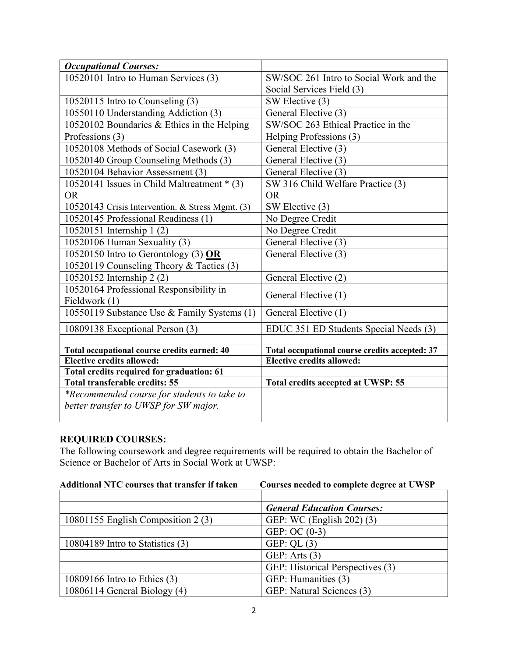| <b>Occupational Courses:</b>                     |                                                |
|--------------------------------------------------|------------------------------------------------|
| 10520101 Intro to Human Services (3)             | SW/SOC 261 Intro to Social Work and the        |
|                                                  | Social Services Field (3)                      |
| 10520115 Intro to Counseling (3)                 | SW Elective (3)                                |
| 10550110 Understanding Addiction (3)             | General Elective (3)                           |
| 10520102 Boundaries & Ethics in the Helping      | SW/SOC 263 Ethical Practice in the             |
| Professions (3)                                  | Helping Professions (3)                        |
| 10520108 Methods of Social Casework (3)          | General Elective (3)                           |
| 10520140 Group Counseling Methods (3)            | General Elective (3)                           |
| 10520104 Behavior Assessment (3)                 | General Elective (3)                           |
| 10520141 Issues in Child Maltreatment * (3)      | SW 316 Child Welfare Practice (3)              |
| <b>OR</b>                                        | <b>OR</b>                                      |
| 10520143 Crisis Intervention. & Stress Mgmt. (3) | SW Elective (3)                                |
| 10520145 Professional Readiness (1)              | No Degree Credit                               |
| 10520151 Internship 1 (2)                        | No Degree Credit                               |
| 10520106 Human Sexuality (3)                     | General Elective (3)                           |
| 10520150 Intro to Gerontology (3) $OR$           | General Elective (3)                           |
| 10520119 Counseling Theory & Tactics (3)         |                                                |
| 10520152 Internship 2 (2)                        | General Elective (2)                           |
| 10520164 Professional Responsibility in          | General Elective (1)                           |
| Fieldwork (1)                                    |                                                |
| 10550119 Substance Use & Family Systems (1)      | General Elective (1)                           |
| 10809138 Exceptional Person (3)                  | EDUC 351 ED Students Special Needs (3)         |
|                                                  |                                                |
| Total occupational course credits earned: 40     | Total occupational course credits accepted: 37 |
| <b>Elective credits allowed:</b>                 | <b>Elective credits allowed:</b>               |
| Total credits required for graduation: 61        |                                                |
| <b>Total transferable credits: 55</b>            | <b>Total credits accepted at UWSP: 55</b>      |
| *Recommended course for students to take to      |                                                |
| better transfer to UWSP for SW major.            |                                                |
|                                                  |                                                |

# **REQUIRED COURSES:**

The following coursework and degree requirements will be required to obtain the Bachelor of Science or Bachelor of Arts in Social Work at UWSP:

| Additional NTC courses that transfer if taken | Courses needed to complete degree at UWSP |
|-----------------------------------------------|-------------------------------------------|
|                                               |                                           |
|                                               | <b>General Education Courses:</b>         |
| 10801155 English Composition 2 (3)            | GEP: WC (English 202) (3)                 |
|                                               | GEP: OC $(0-3)$                           |
| 10804189 Intro to Statistics (3)              | GEP: QL $(3)$                             |
|                                               | GEP: Arts $(3)$                           |
|                                               | GEP: Historical Perspectives (3)          |
| 10809166 Intro to Ethics (3)                  | GEP: Humanities (3)                       |
| 10806114 General Biology (4)                  | GEP: Natural Sciences (3)                 |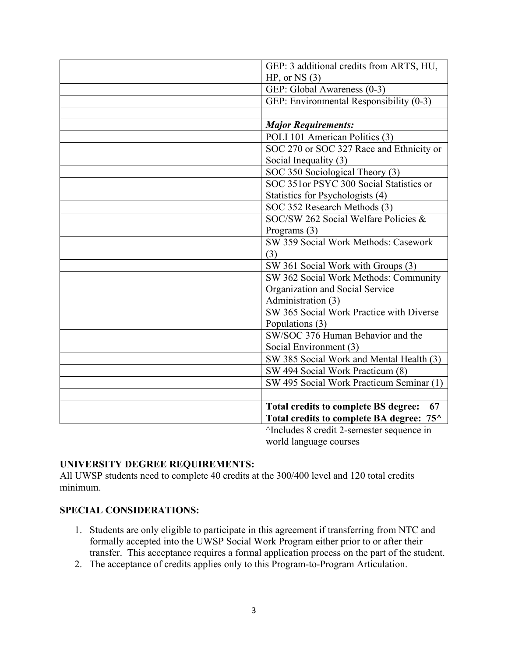| GEP: 3 additional credits from ARTS, HU,          |
|---------------------------------------------------|
| $HP$ , or NS $(3)$                                |
| GEP: Global Awareness (0-3)                       |
|                                                   |
| GEP: Environmental Responsibility (0-3)           |
|                                                   |
| <b>Major Requirements:</b>                        |
| POLI 101 American Politics (3)                    |
| SOC 270 or SOC 327 Race and Ethnicity or          |
| Social Inequality (3)                             |
| SOC 350 Sociological Theory (3)                   |
| SOC 351or PSYC 300 Social Statistics or           |
| Statistics for Psychologists (4)                  |
| SOC 352 Research Methods (3)                      |
| SOC/SW 262 Social Welfare Policies &              |
| Programs $(3)$                                    |
| SW 359 Social Work Methods: Casework              |
| (3)                                               |
| SW 361 Social Work with Groups (3)                |
| SW 362 Social Work Methods: Community             |
| Organization and Social Service                   |
| Administration (3)                                |
| SW 365 Social Work Practice with Diverse          |
| Populations (3)                                   |
| SW/SOC 376 Human Behavior and the                 |
| Social Environment (3)                            |
| SW 385 Social Work and Mental Health (3)          |
| SW 494 Social Work Practicum (8)                  |
| SW 495 Social Work Practicum Seminar (1)          |
|                                                   |
| <b>Total credits to complete BS degree:</b><br>67 |
| Total credits to complete BA degree: 75^          |
| ^Includes 8 credit 2-semester sequence in         |
|                                                   |

world language courses

## **UNIVERSITY DEGREE REQUIREMENTS:**

All UWSP students need to complete 40 credits at the 300/400 level and 120 total credits minimum.

### **SPECIAL CONSIDERATIONS:**

- 1. Students are only eligible to participate in this agreement if transferring from NTC and formally accepted into the UWSP Social Work Program either prior to or after their transfer. This acceptance requires a formal application process on the part of the student.
- 2. The acceptance of credits applies only to this Program-to-Program Articulation.